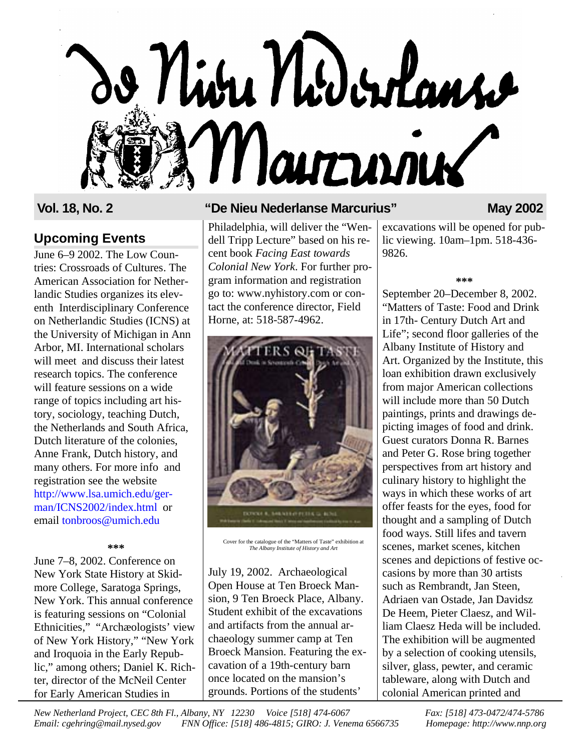

### **Upcoming Events**

June 6–9 2002. The Low Countries: Crossroads of Cultures. The American Association for Netherlandic Studies organizes its eleventh Interdisciplinary Conference on Netherlandic Studies (ICNS) at the University of Michigan in Ann Arbor, MI. International scholars will meet and discuss their latest research topics. The conference will feature sessions on a wide range of topics including art history, sociology, teaching Dutch, the Netherlands and South Africa, Dutch literature of the colonies, Anne Frank, Dutch history, and many others. For more info and registration see the website [http://www.lsa.umich.edu/ger](http://www.lsa.umich.edu/german/ICNS2002/index.html)man/ICNS2002/index.html or email [tonbroos@umich.edu](mailto:tonbroos@umich.edu)

#### **\*\*\***

June 7–8, 2002. Conference on New York State History at Skidmore College, Saratoga Springs, New York. This annual conference is featuring sessions on "Colonial Ethnicities," "Archæologists' view of New York History," "New York and Iroquoia in the Early Republic," among others; Daniel K. Richter, director of the McNeil Center for Early American Studies in

### **Vol. 18, No. 2 "De Nieu Nederlanse Marcurius" May 2002**

Philadelphia, will deliver the "Wendell Tripp Lecture" based on his recent book *Facing East towards Colonial New York*. For further program information and registration go to: www.nyhistory.com or contact the conference director, Field Horne, at: 518-587-4962.



Cover for the catalogue of the "Matters of Taste" exhibition at *The Albany Institute of History and Art*

July 19, 2002. Archaeological Open House at Ten Broeck Mansion, 9 Ten Broeck Place, Albany. Student exhibit of the excavations and artifacts from the annual archaeology summer camp at Ten Broeck Mansion. Featuring the excavation of a 19th-century barn once located on the mansion's grounds. Portions of the students'

excavations will be opened for public viewing. 10am–1pm. 518-436- 9826.

#### **\*\*\***

September 20–December 8, 2002. "Matters of Taste: Food and Drink in 17th- Century Dutch Art and Life"; second floor galleries of the Albany Institute of History and Art. Organized by the Institute, this loan exhibition drawn exclusively from major American collections will include more than 50 Dutch paintings, prints and drawings depicting images of food and drink. Guest curators Donna R. Barnes and Peter G. Rose bring together perspectives from art history and culinary history to highlight the ways in which these works of art offer feasts for the eyes, food for thought and a sampling of Dutch food ways. Still lifes and tavern scenes, market scenes, kitchen scenes and depictions of festive occasions by more than 30 artists such as Rembrandt, Jan Steen, Adriaen van Ostade, Jan Davidsz De Heem, Pieter Claesz, and William Claesz Heda will be included. The exhibition will be augmented by a selection of cooking utensils, silver, glass, pewter, and ceramic tableware, along with Dutch and colonial American printed and

*New Netherland Project, CEC 8th Fl., Albany, NY 12230 Voice [518] 474-6067 Fax: [518] 473-0472/474-5786 Email: cgehring@mail.nysed.gov FNN Office: [518] 486-4815; GIRO: J. Venema 6566735 Homepage: http://www.nnp.org*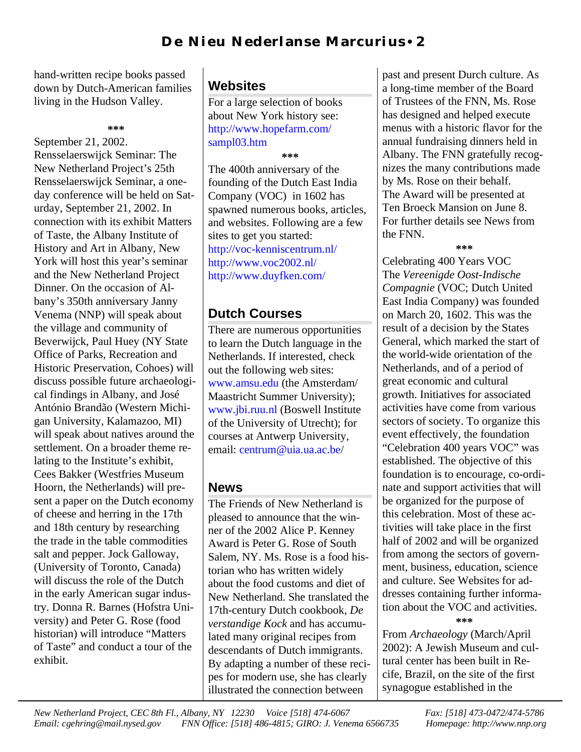hand-written recipe books passed down by Dutch-American families living in the Hudson Valley.

September 21, 2002. Rensselaerswijck Seminar: The New Netherland Project's 25th Rensselaerswijck Seminar, a oneday conference will be held on Saturday, September 21, 2002. In connection with its exhibit Matters of Taste, the Albany Institute of History and Art in Albany, New York will host this year's seminar and the New Netherland Project Dinner. On the occasion of Albany's 350th anniversary Janny Venema (NNP) will speak about the village and community of Beverwijck, Paul Huey (NY State Office of Parks, Recreation and Historic Preservation, Cohoes) will discuss possible future archaeological findings in Albany, and José António Brandão (Western Michigan University, Kalamazoo, MI) will speak about natives around the settlement. On a broader theme relating to the Institute's exhibit, Cees Bakker (Westfries Museum Hoorn, the Netherlands) will present a paper on the Dutch economy of cheese and herring in the 17th and 18th century by researching the trade in the table commodities salt and pepper. Jock Galloway, (University of Toronto, Canada) will discuss the role of the Dutch in the early American sugar industry. Donna R. Barnes (Hofstra University) and Peter G. Rose (food historian) will introduce "Matters of Taste" and conduct a tour of the exhibit.

## **Websites**

For a large selection of books about New York history see: [http://www.hopefarm.com/](http://www.hopefarm.com/sampl03.htm) sampl03.htm

**\*\*\***

The 400th anniversary of the founding of the Dutch East India Company (VOC) in 1602 has spawned numerous books, articles, and websites. Following are a few sites to get you started: [http://voc-kenniscentrum.nl/](http://voc-kenniscentrum.nl) [http://www.voc2002.nl/](http://www.voc2002.nl) [http://www.duyfken.com/](http://www.duyfken.com)

## **Dutch Courses**

There are numerous opportunities to learn the Dutch language in the Netherlands. If interested, check out the following web sites: [www.amsu.edu](http://www.amsu.edu) (the Amsterdam/ Maastricht Summer University); [www.jbi.ruu.nl](http://www.jbi.ruu.nl) (Boswell Institute of the University of Utrecht); for courses at Antwerp University, email: [centrum@uia.ua.ac.be/](mailto:centrum@uia.ua.ac.be)

## **News**

The Friends of New Netherland is pleased to announce that the winner of the 2002 Alice P. Kenney Award is Peter G. Rose of South Salem, NY. Ms. Rose is a food historian who has written widely about the food customs and diet of New Netherland. She translated the 17th-century Dutch cookbook, *De verstandige Kock* and has accumulated many original recipes from descendants of Dutch immigrants. By adapting a number of these recipes for modern use, she has clearly illustrated the connection between

past and present Durch culture. As a long-time member of the Board of Trustees of the FNN, Ms. Rose has designed and helped execute menus with a historic flavor for the annual fundraising dinners held in Albany. The FNN gratefully recognizes the many contributions made by Ms. Rose on their behalf. The Award will be presented at Ten Broeck Mansion on June 8. For further details see News from the FNN.

**\*\*\***

Celebrating 400 Years VOC The *Vereenigde Oost-Indische Compagnie* (VOC; Dutch United East India Company) was founded on March 20, 1602. This was the result of a decision by the States General, which marked the start of the world-wide orientation of the Netherlands, and of a period of great economic and cultural growth. Initiatives for associated activities have come from various sectors of society. To organize this event effectively, the foundation "Celebration 400 years VOC" was established. The objective of this foundation is to encourage, co-ordinate and support activities that will be organized for the purpose of this celebration. Most of these activities will take place in the first half of 2002 and will be organized from among the sectors of government, business, education, science and culture. See Websites for addresses containing further information about the VOC and activities.

**\*\*\***

From *Archaeology* (March/April 2002): A Jewish Museum and cultural center has been built in Recife, Brazil, on the site of the first synagogue established in the

*New Netherland Project, CEC 8th Fl., Albany, NY 12230 Voice [518] 474-6067 Fax: [518] 473-0472/474-5786 Email: cgehring@mail.nysed.gov FNN Office: [518] 486-4815; GIRO: J. Venema 6566735 Homepage: http://www.nnp.org*

**<sup>\*\*\*</sup>**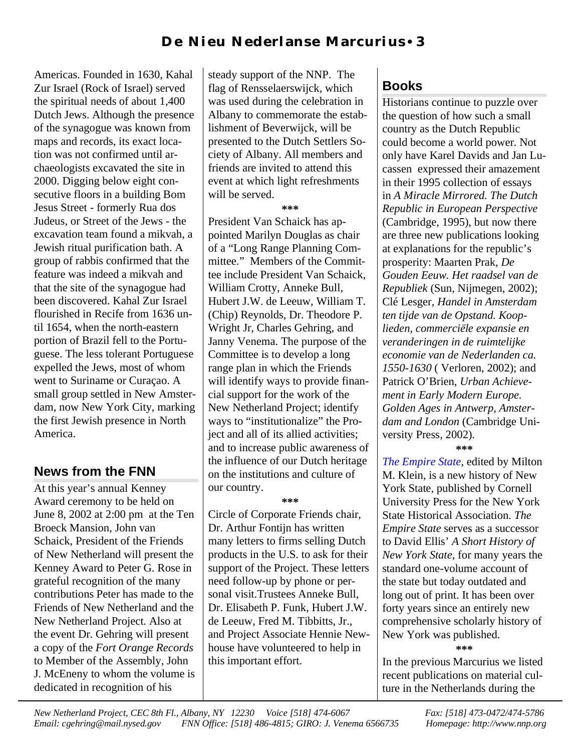Americas. Founded in 1630, Kahal Zur Israel (Rock of Israel) served the spiritual needs of about 1,400 Dutch Jews. Although the presence of the synagogue was known from maps and records, its exact location was not confirmed until archaeologists excavated the site in 2000. Digging below eight consecutive floors in a building Bom Jesus Street - formerly Rua dos Judeus, or Street of the Jews - the excavation team found a mikvah, a Jewish ritual purification bath. A group of rabbis confirmed that the feature was indeed a mikvah and that the site of the synagogue had been discovered. Kahal Zur Israel flourished in Recife from 1636 until 1654, when the north-eastern portion of Brazil fell to the Portuguese. The less tolerant Portuguese expelled the Jews, most of whom went to Suriname or Curaçao. A small group settled in New Amsterdam, now New York City, marking the first Jewish presence in North America.

#### **News from the FNN**

At this year's annual Kenney Award ceremony to be held on June 8, 2002 at 2:00 pm at the Ten Broeck Mansion, John van Schaick, President of the Friends of New Netherland will present the Kenney Award to Peter G. Rose in grateful recognition of the many contributions Peter has made to the Friends of New Netherland and the New Netherland Project. Also at the event Dr. Gehring will present a copy of the *Fort Orange Records* to Member of the Assembly, John J. McEneny to whom the volume is dedicated in recognition of his

steady support of the NNP. The flag of Rensselaerswijck, which was used during the celebration in Albany to commemorate the establishment of Beverwijck, will be presented to the Dutch Settlers Society of Albany. All members and friends are invited to attend this event at which light refreshments will be served.

**\*\*\***

President Van Schaick has appointed Marilyn Douglas as chair of a "Long Range Planning Committee." Members of the Committee include President Van Schaick, William Crotty, Anneke Bull, Hubert J.W. de Leeuw, William T. (Chip) Reynolds, Dr. Theodore P. Wright Jr, Charles Gehring, and Janny Venema. The purpose of the Committee is to develop a long range plan in which the Friends will identify ways to provide financial support for the work of the New Netherland Project; identify ways to "institutionalize" the Project and all of its allied activities; and to increase public awareness of the influence of our Dutch heritage on the institutions and culture of our country.

**\*\*\***

Circle of Corporate Friends chair, Dr. Arthur Fontijn has written many letters to firms selling Dutch products in the U.S. to ask for their support of the Project. These letters need follow-up by phone or personal visit.Trustees Anneke Bull, Dr. Elisabeth P. Funk, Hubert J.W. de Leeuw, Fred M. Tibbitts, Jr., and Project Associate Hennie Newhouse have volunteered to help in this important effort.

# **Books**

Historians continue to puzzle over the question of how such a small country as the Dutch Republic could become a world power. Not only have Karel Davids and Jan Lucassen expressed their amazement in their 1995 collection of essays in *A Miracle Mirrored. The Dutch Republic in European Perspective* (Cambridge, 1995), but now there are three new publications looking at explanations for the republic's prosperity: Maarten Prak, *De Gouden Eeuw. Het raadsel van de Republiek* (Sun, Nijmegen, 2002); Clé Lesger, *Handel in Amsterdam ten tijde van de Opstand. Kooplieden, commerciële expansie en veranderingen in de ruimtelijke economie van de Nederlanden ca. 1550-1630* ( Verloren, 2002); and Patrick O'Brien, *Urban Achievement in Early Modern Europe. Golden Ages in Antwerp, Amsterdam and London* (Cambridge University Press, 2002). **\*\*\***

*[The Empire](http://www.amazon.com/exec/obidos/ISBN=0801438667/friendsofnewnethA) State*, edited by Milton M. Klein, is a new history of New York State, published by Cornell University Press for the New York State Historical Association. *The Empire State* serves as a successor to David Ellis' *A Short History of New York State*, for many years the standard one-volume account of the state but today outdated and long out of print. It has been over forty years since an entirely new comprehensive scholarly history of New York was published.

**\*\*\***

In the previous Marcurius we listed recent publications on material culture in the Netherlands during the

*New Netherland Project, CEC 8th Fl., Albany, NY 12230 Voice [518] 474-6067 Fax: [518] 473-0472/474-5786 Email: cgehring@mail.nysed.gov FNN Office: [518] 486-4815; GIRO: J. Venema 6566735 Homepage: http://www.nnp.org*